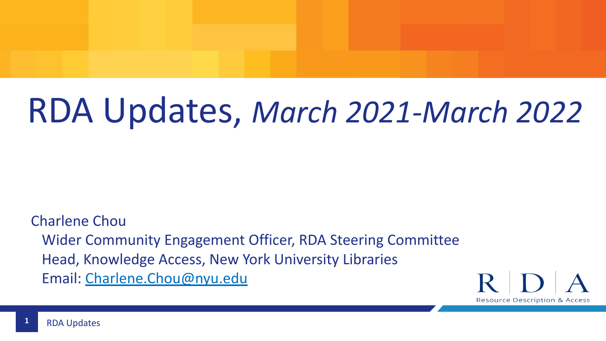# RDA Updates, *March 2021-March 2022*

Charlene Chou Wider Community Engagement Officer, RDA Steering Committee Head, Knowledge Access, New York University Libraries Email: [Charlene.Chou@nyu.edu](mailto:Charlene.Chou@nyu.edu)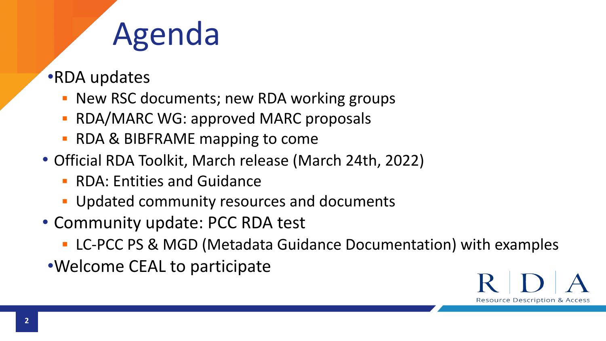## Agenda

- •RDA updates
	- **EXEC MEX CONTER 15 IN A 20 YO F AND RDA** working groups
	- **RDA/MARC WG: approved MARC proposals**
	- RDA & BIBFRAME mapping to come
- Official RDA Toolkit, March release (March 24th, 2022)
	- RDA: Entities and Guidance
	- **Updated community resources and documents**
- Community update: PCC RDA test
	- LC-PCC PS & MGD (Metadata Guidance Documentation) with examples
- •Welcome CEAL to participate

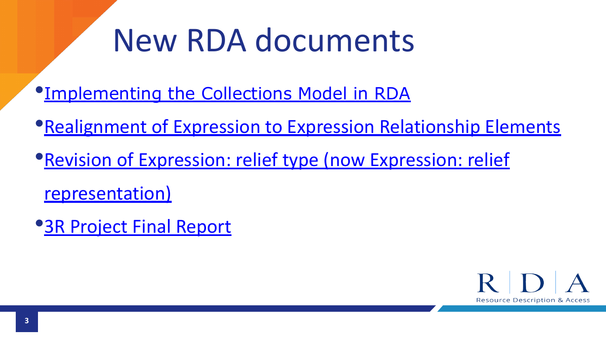## New RDA documents

•[Implementing the Collections Model in RDA](http://www.rda-rsc.org/sites/all/files/RSC-TechnicalWG-2021-2-RSCDecisions-rev.pdf)

- •**[Realignment of Expression to Expression Relationship Elements](http://www.rda-rsc.org//sites/all/files/RSC-TechnicalWG-2021-1-RSCDecisions-rev.pdf)**
- •[Revision of Expression: relief type \(now Expression: relief](http://www.rda-rsc.org//sites/all/files/RSC-EURIG-2021-1-RSCDecisions-rev.pdf) [representation\)](http://www.rda-rsc.org//sites/all/files/RSC-EURIG-2021-1-RSCDecisions-rev.pdf)
- •[3R Project Final Report](http://www.rda-rsc.org/sites/all/files/3R%20Project%20Final%20Report.pdf)

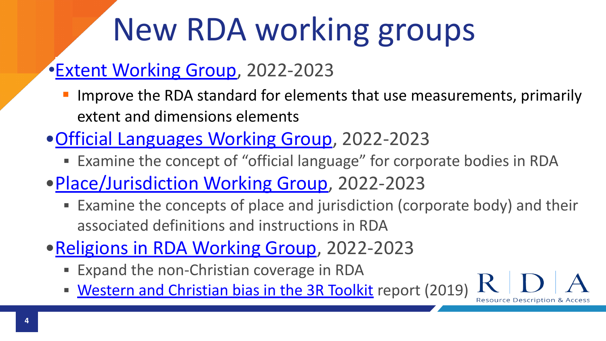# New RDA working groups

### •[Extent Working Group,](http://www.rda-rsc.org/sites/all/files/RSC-Chair-2022-1.pdf) 2022-2023

- Improve the RDA standard for elements that use measurements, primarily extent and dimensions elements
- •[Official Languages Working Group](http://www.rda-rsc.org/sites/all/files/RSC-Chair-2022-2_0.pdf), 2022-2023
	- Examine the concept of "official language" for corporate bodies in RDA
- •[Place/Jurisdiction Working Group](http://www.rda-rsc.org/sites/all/files/RSC-Chair-2022-3.pdf), 2022-2023
	- Examine the concepts of place and jurisdiction (corporate body) and their associated definitions and instructions in RDA

Resource Description &

- •[Religions in RDA Working Group,](http://www.rda-rsc.org/sites/all/files/RSC-Chair-2022-4.pdf) 2022-2023
	- **Expand the non-Christian coverage in RDA**
	- **[Western and Christian bias in the 3R Toolkit](https://drive.google.com/file/d/11iqfdLhrRoDOU2ZlXndMenByL_pCDeWr/view) report (2019)**

**4**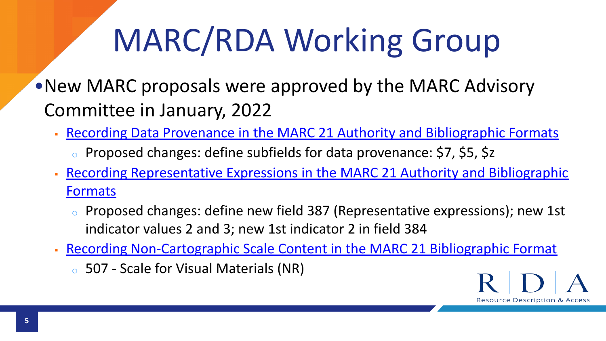# MARC/RDA Working Group

•New MARC proposals were approved by the MARC Advisory Committee in January, 2022

- [Recording Data Provenance in the MARC 21 Authority and Bibliographic Formats](https://www.loc.gov/marc/mac/2022/2022-05.html)
	- <sup>o</sup> Proposed changes: define subfields for data provenance: \$7, \$5, \$z
- [Recording Representative Expressions in the MARC 21 Authority and Bibliographic](https://www.loc.gov/marc/mac/2022/2022-04.html) [Formats](https://www.loc.gov/marc/mac/2022/2022-04.html)
	- Proposed changes: define new field 387 (Representative expressions); new 1st indicator values 2 and 3; new 1st indicator 2 in field 384
- **EXECORDING Non-Cartographic Scale Content in the MARC 21 Bibliographic Format** 
	- <sup>o</sup> 507 Scale for Visual Materials (NR)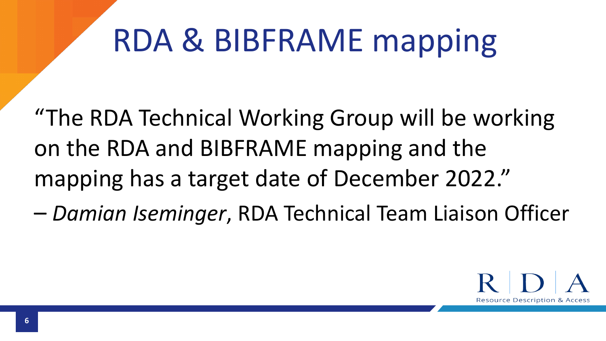# RDA & BIBFRAME mapping

"The RDA Technical Working Group will be working on the RDA and BIBFRAME mapping and the mapping has a target date of December 2022."

– *Damian Iseminger*, RDA Technical Team Liaison Officer

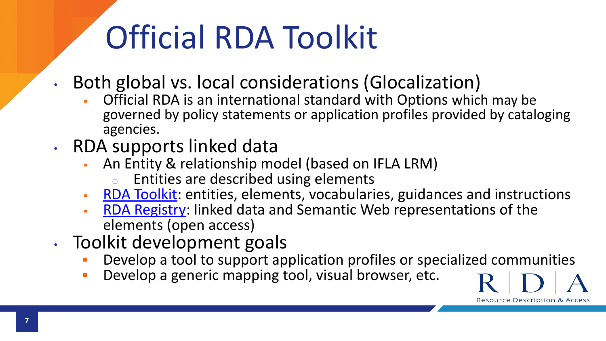# Official RDA Toolkit

- Both global vs. local considerations (Glocalization)
	- Official RDA is an international standard with Options which may be governed by policy statements or application profiles provided by cataloging agencies.
- RDA supports linked data
	- An Entity & relationship model (based on IFLA LRM)
		- <sup>o</sup> Entities are described using elements
	- [RDA Toolkit:](https://access.rdatoolkit.org/) entities, elements, vocabularies, guidances and instructions
	- **[RDA Registry](https://www.rdaregistry.info/):** linked data and Semantic Web representations of the elements (open access)
- Toolkit development goals
	- Develop a tool to support application profiles or specialized communities

**Resource Description & Access** 

**• Develop a generic mapping tool, visual browser, etc.**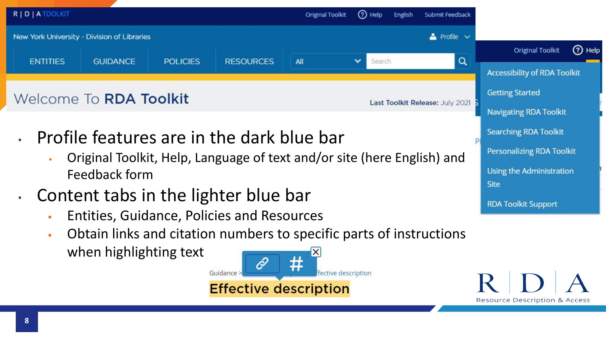

Obtain links and citation numbers to specific parts of instructions when highlighting text

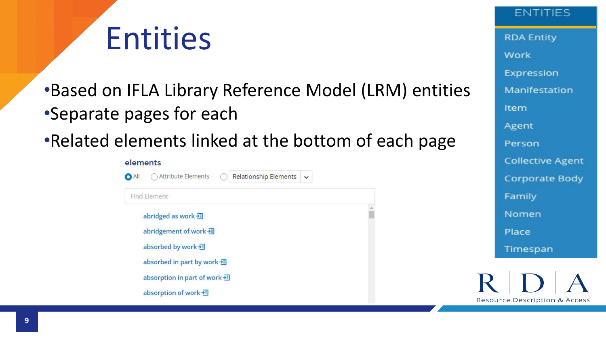

•Based on IFLA Library Reference Model (LRM) entities •Separate pages for each

### •Related elements linked at the bottom of each page

#### elements



**ENTITIES RDA Entity** Work Expression Manifestation Item Agent Person **Collective Agent** Corporate Body Family Nomen Place Timespan

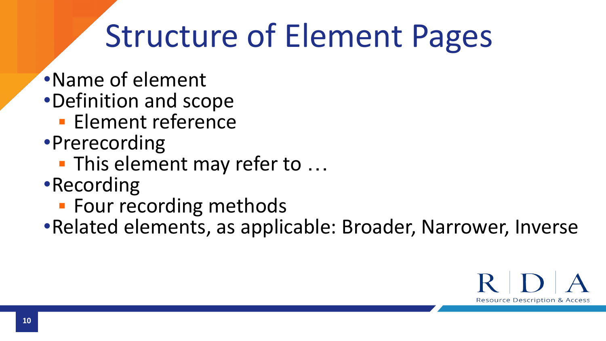## Structure of Element Pages

- •Name of element
- •Definition and scope
	- **Element reference**
- •Prerecording
	- **This element may refer to ...**
- •Recording
	- **· Four recording methods**
- •Related elements, as applicable: Broader, Narrower, Inverse

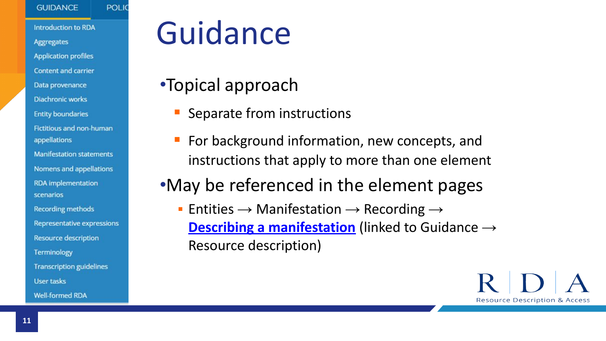#### **GUIDANCE**

**POLIC** 

**Introduction to RDA Aggregates Application profiles Content and carrier** Data provenance **Diachronic works Entity boundaries** Fictitious and non-human appellations **Manifestation statements** Nomens and appellations **RDA** implementation scenarios **Recording methods Representative expressions Resource description** Terminology **Transcription guidelines User tasks Well-formed RDA** 

## Guidance

- •Topical approach
	- Separate from instructions
	- For background information, new concepts, and instructions that apply to more than one element

### •May be referenced in the element pages

**• Entities**  $\rightarrow$  **Manifestation**  $\rightarrow$  **Recording**  $\rightarrow$ **[Describing a manifestation](https://access.rdatoolkit.org/en-US_ala-cf0b18a4-5a55-3358-94b0-2d4fb5449314/div_apg_3cy_ydb)** (linked to Guidance → Resource description)

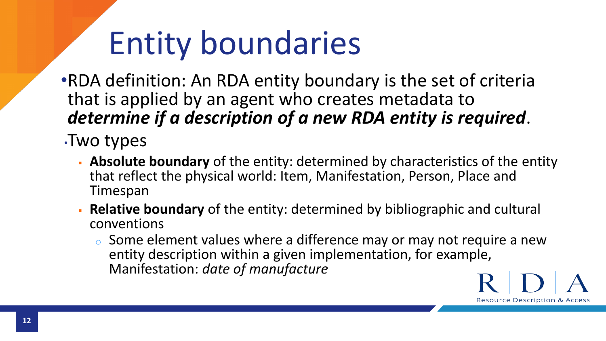## Entity boundaries

•RDA definition: An RDA entity boundary is the set of criteria that is applied by an agent who creates metadata to *determine if a description of a new RDA entity is required*.

- •Two types
	- **Absolute boundary** of the entity: determined by characteristics of the entity that reflect the physical world: Item, Manifestation, Person, Place and Timespan
	- **Relative boundary** of the entity: determined by bibliographic and cultural conventions
		- $\circ$  Some element values where a difference may or may not require a new entity description within a given implementation, for example, Manifestation: *date of manufacture*

**Resource Description & Access** 

**12**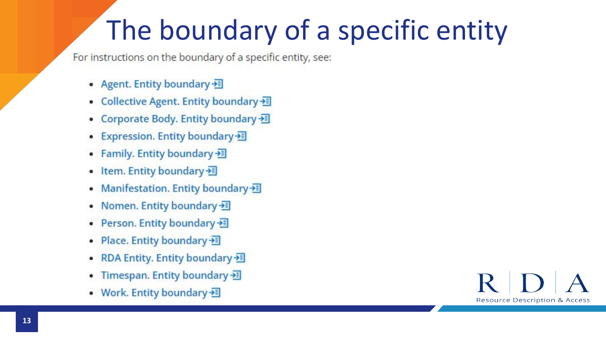### The boundary of a specific entity

For instructions on the boundary of a specific entity, see:

- Agent. Entity boundary  $\frac{1}{2}$
- Collective Agent. Entity boundary
- Corporate Body. Entity boundary >
- Expression. Entity boundary
- Family. Entity boundary  $\equiv$
- Item. Entity boundary 题
- Manifestation. Entity boundary 题
- Nomen. Entity boundary 通
- Person. Entity boundary
- Place. Entity boundary 题
- RDA Entity. Entity boundary
- Timespan. Entity boundary »
- Work. Entity boundary 题

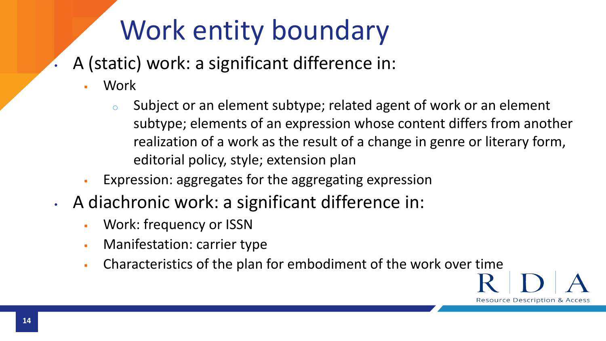### Work entity boundary

- A (static) work: a significant difference in:
	- **Work** 
		- $\circ$  Subject or an element subtype; related agent of work or an element subtype; elements of an expression whose content differs from another realization of a work as the result of a change in genre or literary form, editorial policy, style; extension plan
	- Expression: aggregates for the aggregating expression
- A diachronic work: a significant difference in:
	- **Work: frequency or ISSN**
	- Manifestation: carrier type
	- Characteristics of the plan for embodiment of the work over time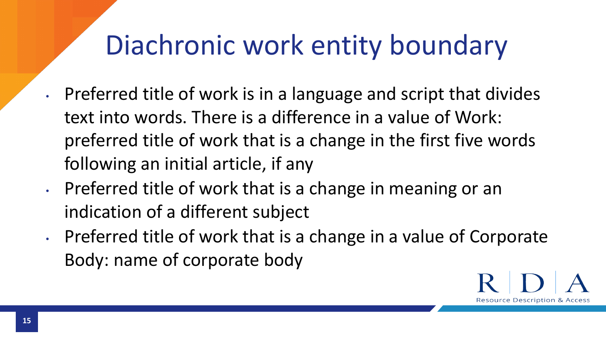### Diachronic work entity boundary

- Preferred title of work is in a language and script that divides text into words. There is a difference in a value of Work: preferred title of work that is a change in the first five words following an initial article, if any
- Preferred title of work that is a change in meaning or an indication of a different subject
- Preferred title of work that is a change in a value of Corporate Body: name of corporate body

Resource Description &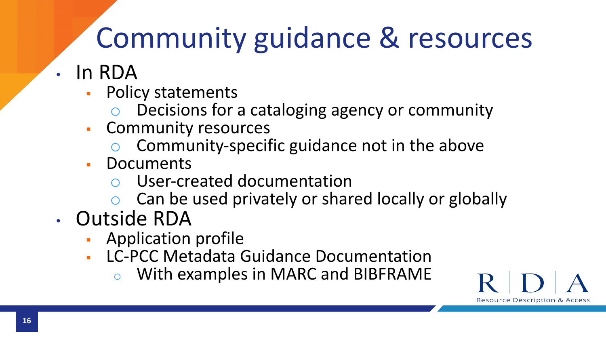### Community guidance & resources

- In RDA
	- Policy statements
		- Decisions for a cataloging agency or community
	- Community resources
		- Community-specific guidance not in the above
	- **Documents** 
		- User-created documentation
		- Can be used privately or shared locally or globally

Resource Description & Access

- Outside RDA
	- Application profile
	- **LC-PCC Metadata Guidance Documentation** 
		- o With examples in MARC and BIBFRAME

**16**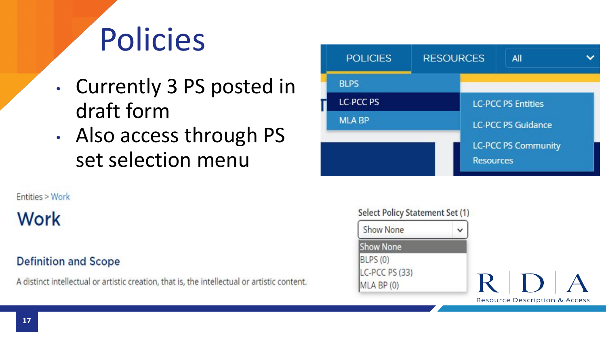## Policies

- Currently 3 PS posted in draft form
- Also access through PS set selection menu

Entities > Work

### **Work**

### **Definition and Scope**

A distinct intellectual or artistic creation, that is, the intellectual or artistic content.



#### Select Policy Statement Set (1)

| <b>Show None</b> |  |
|------------------|--|
| <b>Show None</b> |  |
| BLPS(0)          |  |
| LC-PCC PS (33)   |  |
| MLA BP (0)       |  |

 $\mathbf R^-$ **Resource Description & Access**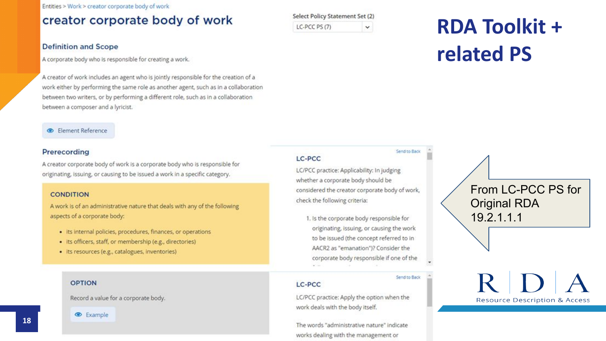Entities > Work > creator corporate body of work

#### creator corporate body of work

#### Select Policy Statement Set (2) LC-PCC PS (7)  $\checkmark$

#### **Definition and Scope**

A corporate body who is responsible for creating a work.

A creator of work includes an agent who is jointly responsible for the creation of a work either by performing the same role as another agent, such as in a collaboration between two writers, or by performing a different role, such as in a collaboration between a composer and a lyricist.

#### **Element Reference**

#### Prerecording

A creator corporate body of work is a corporate body who is responsible for originating, issuing, or causing to be issued a work in a specific category.

#### **CONDITION**

A work is of an administrative nature that deals with any of the following aspects of a corporate body:

- · Its internal policies, procedures, finances, or operations
- · its officers, staff, or membership (e.g., directories)
- · its resources (e.g., catalogues, inventories)

#### **OPTION**

Record a value for a corporate body.



### **RDA Toolkit + related PS**

#### LC-PCC

LC/PCC practice: Applicability: In judging whether a corporate body should be considered the creator corporate body of work, check the following criteria:

Send to Back

Send to Back

1. Is the corporate body responsible for originating, issuing, or causing the work to be issued (the concept referred to in AACR2 as "emanation")? Consider the corporate body responsible if one of the

#### LC-PCC

LC/PCC practice: Apply the option when the work deals with the body itself.

The words "administrative nature" indicate works dealing with the management or

From LC-PCC PS for Original RDA 19.2.1.1.1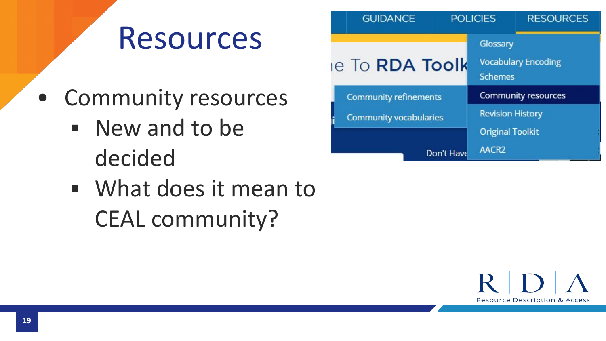### Resources

- Community resources
	- New and to be decided
	- What does it mean to CEAL community?

**GUIDANCE** POLICIES **RESOURCES** Glossary le To RDA Toolk **Vocabulary Encoding Schemes** Community resources **Community refinements Revision History Community vocabularies Original Toolkit** AACR<sub>2</sub> Don't Have

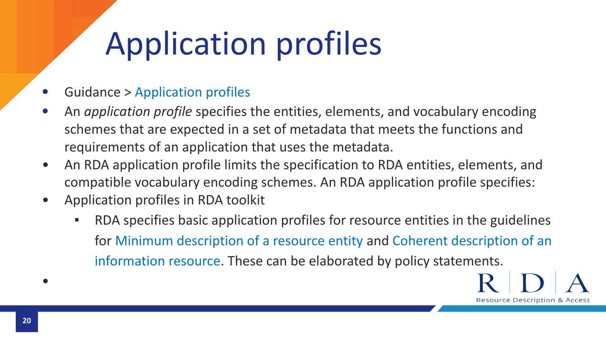# Application profiles

- Guidance > [Application profiles](https://access.rdatoolkit.org/Guidance/GuidanceById/2f2f8910-be03-4903-ae13-e986929fc14f)
- An *application profile* specifies the entities, elements, and vocabulary encoding schemes that are expected in a set of metadata that meets the functions and requirements of an application that uses the metadata.
- An RDA application profile limits the specification to RDA entities, elements, and compatible vocabulary encoding schemes. An RDA application profile specifies:
- Application profiles in RDA toolkit
	- RDA specifies basic application profiles for resource entities in the guidelines for [Minimum description of a resource entity](https://access.rdatoolkit.org/Guidance/Index?externalId=en-US_ala-f4fb013b-b64e-37b1-902c-561d27b1e832) and [Coherent description of an](https://access.rdatoolkit.org/Guidance/Index?externalId=en-US_ala-a346012c-977a-3e23-b4dc-5ff172928f33) [information resource](https://access.rdatoolkit.org/Guidance/Index?externalId=en-US_ala-a346012c-977a-3e23-b4dc-5ff172928f33). These can be elaborated by policy statements.

**Resource Description & Access** 

**20**

•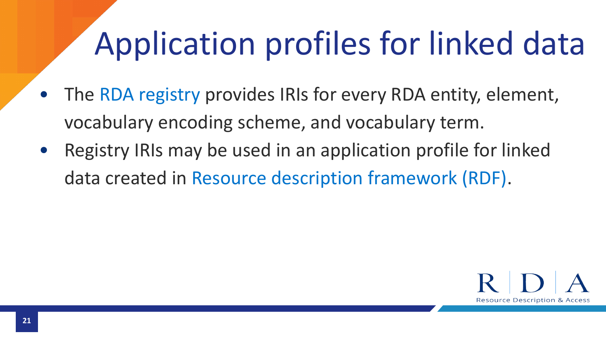# Application profiles for linked data

- The [RDA registry](http://www.rdaregistry.info/) provides IRIs for every RDA entity, element, vocabulary encoding scheme, and vocabulary term.
- Registry IRIs may be used in an application profile for linked data created in [Resource description framework \(RDF\).](https://www.w3.org/RDF/)

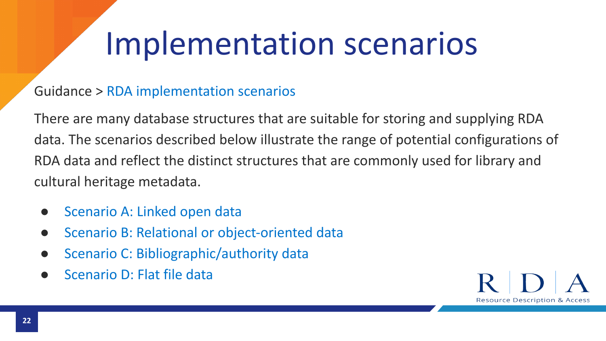## Implementation scenarios

### Guidance > [RDA implementation scenarios](https://access.rdatoolkit.org/Guidance/GuidanceById/6fbeed73-2c8f-4c6c-a7af-2431de6bcc51)

There are many database structures that are suitable for storing and supplying RDA data. The scenarios described below illustrate the range of potential configurations of RDA data and reflect the distinct structures that are commonly used for library and cultural heritage metadata.

- [Scenario A: Linked open data](https://access.rdatoolkit.org/Guidance/Index?externalId=en-US_topic_hfh_gkp_sjb#section_rdaId_section_a1m_hlp_sjb)
- [Scenario B: Relational or object-oriented data](https://access.rdatoolkit.org/Guidance/Index?externalId=en-US_topic_hfh_gkp_sjb#section_rdaId_section_qrm_qlp_sjb)
- [Scenario C: Bibliographic/authority data](https://access.rdatoolkit.org/Guidance/Index?externalId=en-US_topic_hfh_gkp_sjb#section_rdaId_section_azd_ylp_sjb)
- [Scenario D: Flat file data](https://access.rdatoolkit.org/Guidance/Index?externalId=en-US_topic_hfh_gkp_sjb#section_rdaId_section_zs3_fmp_sjb)

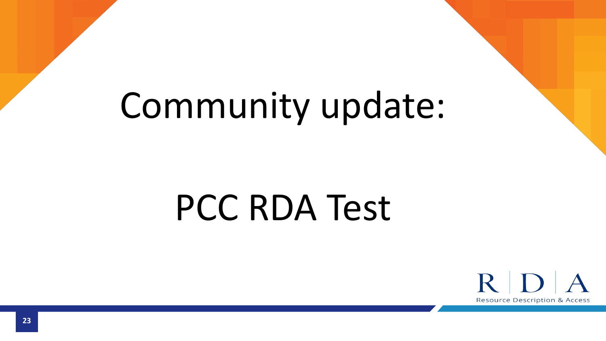# Community update:

# PCC RDA Test

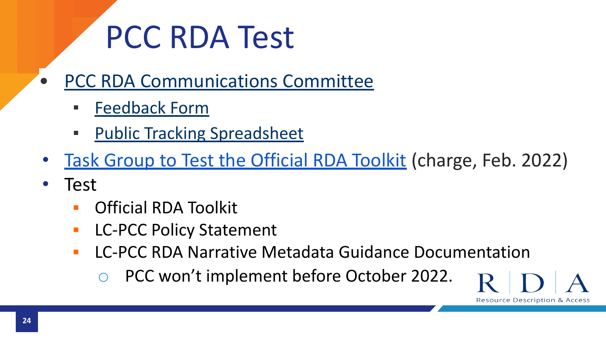## PCC RDA Test

- [PCC RDA Communications Committee](https://www.loc.gov/aba/pcc/rda/communications-committee/)
	- [Feedback Form](https://docs.google.com/forms/d/e/1FAIpQLSdSXHgduC1TnjXS7ERb0ggGyaIr3Z5xVeqUWyQ2fzEHioQR_w/viewform)
	- **[Public Tracking Spreadsheet](https://docs.google.com/spreadsheets/d/1vDPelYCMCtdEc4iahZ0bx_9r7AoH1B6boi_yAflvJ-8/edit#gid=0)**
- [Task Group to Test the Official RDA Toolkit](https://urldefense.com/v3/__https:/www.loc.gov/aba/pcc/taskgroup/Test-Official-RDA-Toolkit-charge.pdf__;!!IBzWLUs!Be29IQJT5LFU9SUKSMsDu0cO_ucORjKdSQqxPzIu0I838oKGAjdmzrkyqtKG4d4$) (charge, Feb. 2022)
- Test
	- **Official RDA Toolkit**
	- **LC-PCC Policy Statement**
	- **LC-PCC RDA Narrative Metadata Guidance Documentation** 
		- PCC won't implement before October 2022.

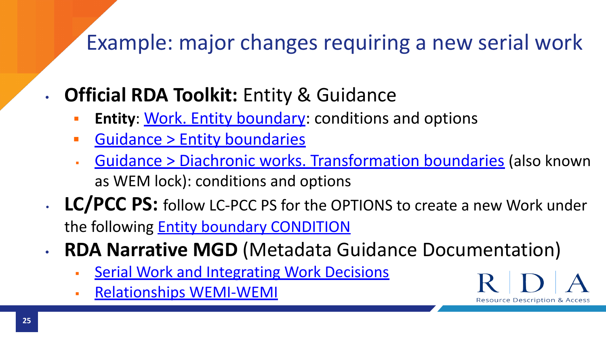### Example: major changes requiring a new serial work

- **Official RDA Toolkit:** Entity & Guidance
	- **Entity: [Work. Entity boundary](https://access.rdatoolkit.org/en-US_ala-c3e1fff8-0a79-35c6-bee1-39b6b4c9ed35/p_ssl_3dy_hmb): conditions and options**
	- **[Guidance > Entity boundaries](https://access.rdatoolkit.org/en-US_topic_g34_ppn_ylb)**
	- [Guidance > Diachronic works. Transformation boundaries](https://access.rdatoolkit.org/en-US_ala-443c463e-b075-3e6a-9377-eb230c6b8281/section_od1_54p_vdb) (also known as WEM lock): conditions and options

**Resource Description & Access** 

- **LC/PCC PS:** follow LC-PCC PS for the OPTIONS to create a new Work under the following **Entity boundary CONDITION**
- **RDA Narrative MGD** (Metadata Guidance Documentation)
	- **[Serial Work and Integrating Work Decisions](https://loc.gov/aba/rda/mgd/mg-serialsDecisions.pdf)**
	- [Relationships WEMI-WEMI](https://www.loc.gov/aba/rda/mgd/relationships/mg-relationshipsWEMIWEMI.pdf)

**25**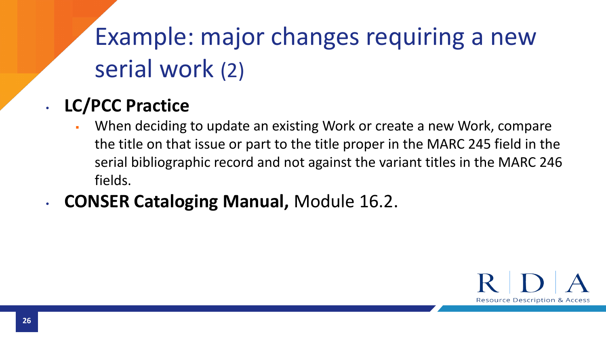### Example: major changes requiring a new serial work (2)

### • **LC/PCC Practice**

- When deciding to update an existing Work or create a new Work, compare the title on that issue or part to the title proper in the MARC 245 field in the serial bibliographic record and not against the variant titles in the MARC 246 fields.
- **CONSER Cataloging Manual,** Module 16.2.

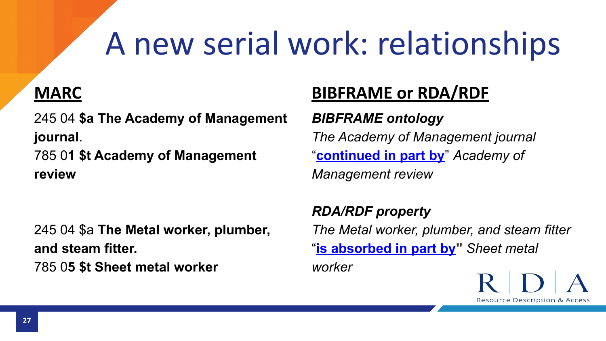# A new serial work: relationships

### **MARC**

245 04 **\$a The Academy of Management journal**.

785 0**1 \$t Academy of Management review** 

245 04 \$a **The Metal worker, plumber, and steam fitter.** 785 0**5 \$t Sheet metal worker**

### **BIBFRAME or RDA/RDF**

*BIBFRAME ontology The Academy of Management journal*  "**[continued in part by](http://id.loc.gov/ontologies/bibframe/continuedInPartBy)**" *Academy of Management review*

*RDA/RDF property The Metal worker, plumber, and steam fitter*  "**[is absorbed in part by"](http://www.rdaregistry.info/Elements/u/#P60248)** *Sheet metal worker*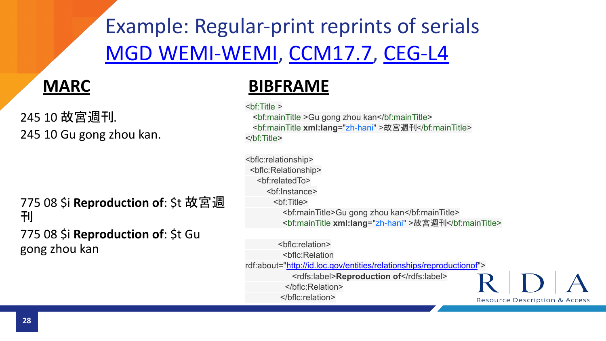Example: Regular-print reprints of serials [MGD WEMI-WEMI](https://www.loc.gov/aba/rda/mgd/relationships/mg-relationshipsWEMIWEMI.pdf), [CCM17.7,](https://www.loc.gov/aba/pcc/conser/word/Module17.docx) [CEG-L4](https://www.loc.gov/aba/pcc/conser/CEG/AppendixL4.pdf)

### **MARC**

245 10 故宮週刊. 245 10 Gu gong zhou kan.

775 08 \$i **Reproduction of**: \$t 故宮週 刊 775 08 \$i **Reproduction of**: \$t Gu

gong zhou kan

### **BIBFRAME**

<bf:Title >

<bf:mainTitle >Gu gong zhou kan</bf:mainTitle> <bf:mainTitle **xml:lang**="zh-hani" >故宮週刊</bf:mainTitle> </bf:Title>

<bflc:relationship> <bflc:Relationship> <bf:relatedTo> <bf:Instance> <bf:Title> <bf:mainTitle>Gu gong zhou kan</bf:mainTitle> <bf:mainTitle **xml:lang**="zh-hani" >故宮週刊</bf:mainTitle>

 <bflc:relation> <bflc:Relation rdf:about=["http://id.loc.gov/entities/relationships/reproductionof"](http://id.loc.gov/entities/relationships/reproductionof)> <rdfs:label>**Reproduction of**</rdfs:label> </bflc:Relation> </bflc:relation>

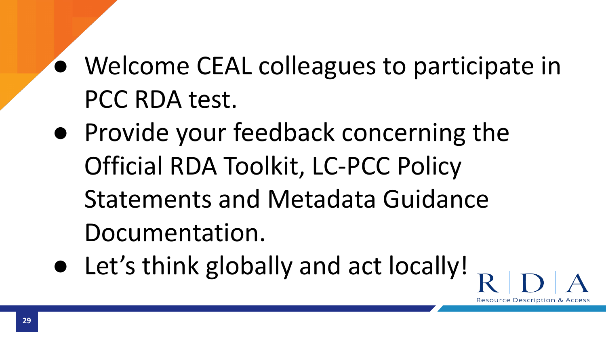### ● Welcome CEAL colleagues to participate in PCC RDA test.

- Provide your feedback concerning the Official RDA Toolkit, LC-PCC Policy Statements and Metadata Guidance Documentation.
- Let's think globally and act locally!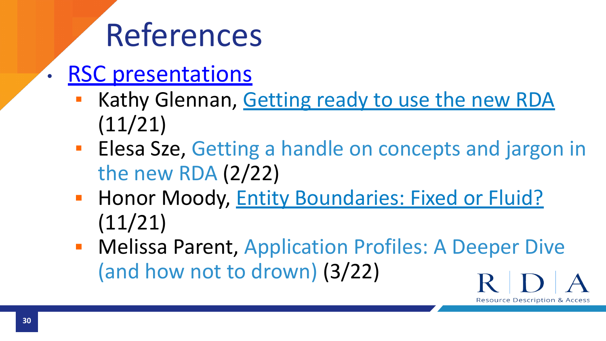## References

- **[RSC presentations](http://www.rda-rsc.org/rscpresentations)** 
	- **EXAM** Kathy Glennan, [Getting ready to use the new RDA](http://www.rda-rsc.org/sites/all/files/Glennan%20Getting%20ready%20to%20use%20RDA%20RAILS%20Nov%202021.pdf) (11/21)
	- **Elesa Sze, [Getting a handle on concepts and jargon in](http://www.rda-rsc.org/sites/all/files/Sze%20Getting%20a%20handle%20on%20concepts%20Feb%202022.pdf)** [the new RDA](http://www.rda-rsc.org/sites/all/files/Sze%20Getting%20a%20handle%20on%20concepts%20Feb%202022.pdf) (2/22)
	- **Entiaby Boundaries: Fixed or Fluid? Boundaries: Fixed or Fluid?** (11/21)
	- **EXPLESS** Parent, [Application Profiles: A Deeper Dive](http://www.rda-rsc.org/sites/all/files/Parent%20Application%20Profiles%20a%20deeper%20dive%20March%202022.pdf) [\(and how not to drown\)](http://www.rda-rsc.org/sites/all/files/Parent%20Application%20Profiles%20a%20deeper%20dive%20March%202022.pdf) (3/22)